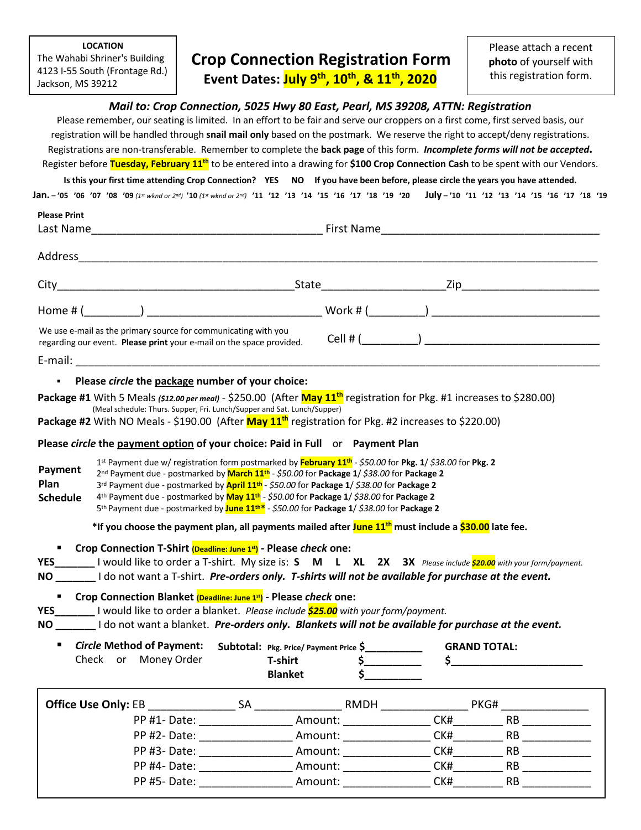**LOCATION** The Wahabi Shriner's Building 4123 I-55 South (Frontage Rd.) Jackson, MS 39212

**Please Print**

# **Crop Connection Registration Form**

**Event Dates: July 9th, 10th, & 11th, 2020**

Please attach a recent **photo** of yourself with this registration form.

### *Mail to: Crop Connection, 5025 Hwy 80 East, Pearl, MS 39208, ATTN: Registration*

Please remember, our seating is limited. In an effort to be fair and serve our croppers on a first come, first served basis, our registration will be handled through **snail mail only** based on the postmark. We reserve the right to accept/deny registrations. Registrations are non-transferable. Remember to complete the **back page** of this form. *Incomplete forms will not be accepted.* Register before **Tuesday, February 11th** to be entered into a drawing for **\$100 Crop Connection Cash** to be spent with our Vendors.

**Is this your first time attending Crop Connection? YES NO If you have been before, please circle the years you have attended.**

**Jan.** – **'05 '06 '07 '08 '09** *(1st wknd or 2nd)* **'10** *(1st wknd or 2nd)* **'11 '12 '13 '14 '15 '16 '17 '18 '19 '20 July** – **'10 '11 '12 '13 '14 '15 '16 '17 '18 '19**

| Please Print<br>Last Name                                                                                                              | First Name _____________________ |  |  |
|----------------------------------------------------------------------------------------------------------------------------------------|----------------------------------|--|--|
| Address                                                                                                                                |                                  |  |  |
|                                                                                                                                        | State <u>_______</u>             |  |  |
| Home #(                                                                                                                                |                                  |  |  |
| We use e-mail as the primary source for communicating with you<br>regarding our event. Please print your e-mail on the space provided. |                                  |  |  |
| E-mail:                                                                                                                                |                                  |  |  |

### § **Please** *circle* **the package number of your choice:**

Package #1 With 5 Meals *(\$12.00 per meal)* - \$250.00 (After <mark>May 11<sup>th</sup></mark> registration for Pkg. #1 increases to \$280.00)<br>(Meal schedule: Thurs. Supper, Fri. Lunch/Supper and Sat. Lunch/Supper)

**Package #2** With NO Meals - \$190.00 (After **May 11th** registration for Pkg. #2 increases to \$220.00)

### **Please** *circle* **the payment option of your choice: Paid in Full** or **Payment Plan**

 1st Payment due w/ registration form postmarked by **February 11th** - *\$50.00* for **Pkg. 1**/ *\$38.00* for **Pkg. 2** 2nd Payment due - postmarked by **March 11th** - *\$50.00* for **Package 1**/ *\$38.00* for **Package 2** 3rd Payment due - postmarked by **April 11th** - *\$50.00* for **Package 1**/ *\$38.00* for **Package 2** 4th Payment due - postmarked by **May 11th** - *\$50.00* for **Package 1**/ *\$38.00* for **Package 2** 5th Payment due - postmarked by **June 11th\*** - *\$50.00* for **Package 1**/ *\$38.00* for **Package 2 \*If you choose the payment plan, all payments mailed after June 11th must include a \$30.00 late fee. Payment Plan Schedule**

§ **Crop Connection T-Shirt (Deadline: June 1st) - Please** *check* **one:**

**YES\_\_\_\_\_\_\_** I would like to order a T-shirt. My size is: **S M L XL 2X 3X** *Please include \$20.00 with your form/payment.* **NO \_\_\_\_\_\_\_** I do not want a T-shirt. *Pre-orders only. T-shirts will not be available for purchase at the event.*

■ Crop Connection Blanket (Deadline: June 1<sup>st</sup>)</sub> - Please *check* one:

**YES\_\_\_\_\_\_\_** I would like to order a blanket. *Please include \$25.00 with your form/payment.*

**NO \_\_\_\_\_\_\_** I do not want a blanket. *Pre-orders only. Blankets will not be available for purchase at the event.*

■ *Circle* Method of Payment: Subtotal: Pkg. Price/ Payment Price \$\_\_\_\_\_\_\_\_\_\_\_ Check or Money Order  **T-shirt \$\_\_\_\_\_\_\_\_\_\_ Blanket** \$ **GRAND TOTAL: \$\_\_\_\_\_\_\_\_\_\_\_\_\_\_\_\_\_\_\_\_\_\_\_\_\_\_\_\_** 

| <b>Office Use Only: EB</b> | SА | RMDH    | PKG# |    |
|----------------------------|----|---------|------|----|
| PP #1- Date:               |    | Amount: | CK#  | RB |
| PP #2-Date:                |    | Amount: | CK#  | RB |
| PP #3- Date:               |    | Amount: | CK#  | RB |
| PP #4- Date:               |    | Amount: | CK#  | RB |
| PP #5-Date:                |    | Amount: | CK#  | RB |